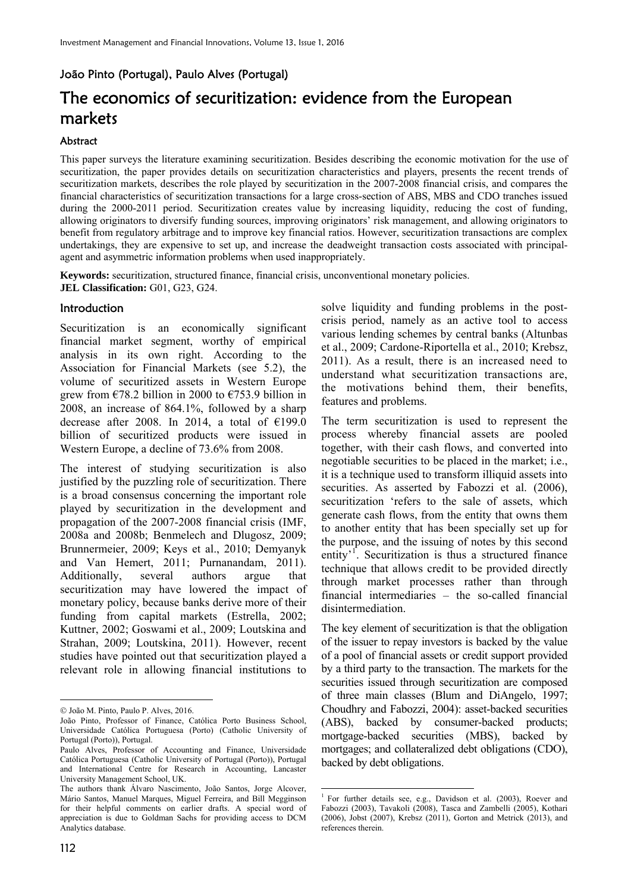# João Pinto (Portugal), Paulo Alves (Portugal)

# The economics of securitization: evidence from the European markets

#### Abstract

This paper surveys the literature examining securitization. Besides describing the economic motivation for the use of securitization, the paper provides details on securitization characteristics and players, presents the recent trends of securitization markets, describes the role played by securitization in the 2007-2008 financial crisis, and compares the financial characteristics of securitization transactions for a large cross-section of ABS, MBS and CDO tranches issued during the 2000-2011 period. Securitization creates value by increasing liquidity, reducing the cost of funding, allowing originators to diversify funding sources, improving originators' risk management, and allowing originators to benefit from regulatory arbitrage and to improve key financial ratios. However, securitization transactions are complex undertakings, they are expensive to set up, and increase the deadweight transaction costs associated with principalagent and asymmetric information problems when used inappropriately.

**.** 

**Keywords:** securitization, structured finance, financial crisis, unconventional monetary policies. **JEL Classification:** G01, G23, G24.

#### **Introduction**

Securitization is an economically significant financial market segment, worthy of empirical analysis in its own right. According to the Association for Financial Markets (see 5.2), the volume of securitized assets in Western Europe grew from  $\epsilon$ 78.2 billion in 2000 to  $\epsilon$ 753.9 billion in 2008, an increase of 864.1%, followed by a sharp decrease after 2008. In 2014, a total of  $£199.0$ billion of securitized products were issued in Western Europe, a decline of 73.6% from 2008.

The interest of studying securitization is also justified by the puzzling role of securitization. There is a broad consensus concerning the important role played by securitization in the development and propagation of the 2007-2008 financial crisis (IMF, 2008a and 2008b; Benmelech and Dlugosz, 2009; Brunnermeier, 2009; Keys et al., 2010; Demyanyk and Van Hemert, 2011; Purnanandam, 2011). Additionally, several authors argue that securitization may have lowered the impact of monetary policy, because banks derive more of their funding from capital markets (Estrella, 2002; Kuttner, 2002; Goswami et al., 2009; Loutskina and Strahan, 2009; Loutskina, 2011). However, recent studies have pointed out that securitization played a relevant role in allowing financial institutions to

solve liquidity and funding problems in the postcrisis period, namely as an active tool to access various lending schemes by central banks (Altunbas et al., 2009; Cardone-Riportella et al., 2010; Krebsz, 2011). As a result, there is an increased need to understand what securitization transactions are, the motivations behind them, their benefits, features and problems.

The term securitization is used to represent the process whereby financial assets are pooled together, with their cash flows, and converted into negotiable securities to be placed in the market; i.e., it is a technique used to transform illiquid assets into securities. As asserted by Fabozzi et al. (2006), securitization 'refers to the sale of assets, which generate cash flows, from the entity that owns them to another entity that has been specially set up for the purpose, and the issuing of notes by this second entity<sup>'</sup><sup>1</sup>. Securitization is thus a structured finance technique that allows credit to be provided directly through market processes rather than through financial intermediaries – the so-called financial disintermediation.

The key element of securitization is that the obligation of the issuer to repay investors is backed by the value of a pool of financial assets or credit support provided by a third party to the transaction. The markets for the securities issued through securitization are composed of three main classes (Blum and DiAngelo, 1997; Choudhry and Fabozzi, 2004): asset-backed securities (ABS), backed by consumer-backed products; mortgage-backed securities (MBS), backed by mortgages; and collateralized debt obligations (CDO), backed by debt obligations.

 $\ddot{\phantom{a}}$ © João M. Pinto, Paulo P. Alves, 2016.

João Pinto, Professor of Finance, Católica Porto Business School, Universidade Católica Portuguesa (Porto) (Catholic University of Portugal (Porto)), Portugal.

Paulo Alves, Professor of Accounting and Finance, Universidade Católica Portuguesa (Catholic University of Portugal (Porto)), Portugal and International Centre for Research in Accounting, Lancaster University Management School, UK.

The authors thank Álvaro Nascimento, João Santos, Jorge Alcover, Mário Santos, Manuel Marques, Miguel Ferreira, and Bill Megginson for their helpful comments on earlier drafts. A special word of appreciation is due to Goldman Sachs for providing access to DCM Analytics database.

<sup>1</sup> For further details see, e.g., Davidson et al. (2003), Roever and Fabozzi (2003), Tavakoli (2008), Tasca and Zambelli (2005), Kothari (2006), Jobst (2007), Krebsz (2011), Gorton and Metrick (2013), and references therein.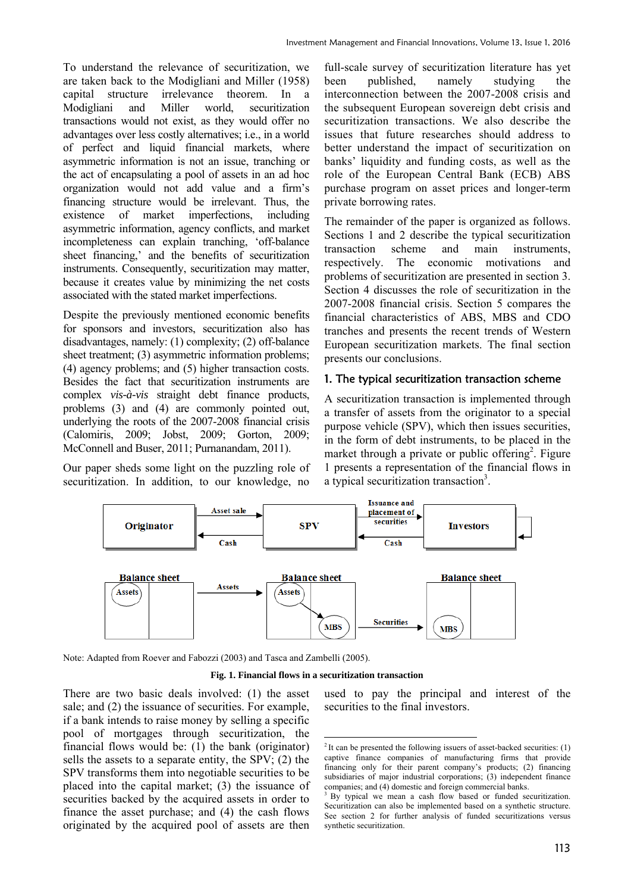To understand the relevance of securitization, we are taken back to the Modigliani and Miller (1958) capital structure irrelevance theorem. In a Modigliani and Miller world, securitization transactions would not exist, as they would offer no advantages over less costly alternatives; i.e., in a world of perfect and liquid financial markets, where asymmetric information is not an issue, tranching or the act of encapsulating a pool of assets in an ad hoc organization would not add value and a firm's financing structure would be irrelevant. Thus, the existence of market imperfections, including asymmetric information, agency conflicts, and market incompleteness can explain tranching, 'off-balance sheet financing,' and the benefits of securitization instruments. Consequently, securitization may matter, because it creates value by minimizing the net costs associated with the stated market imperfections.

Despite the previously mentioned economic benefits for sponsors and investors, securitization also has disadvantages, namely: (1) complexity; (2) off-balance sheet treatment; (3) asymmetric information problems; (4) agency problems; and (5) higher transaction costs. Besides the fact that securitization instruments are complex *vis-à-vis* straight debt finance products, problems (3) and (4) are commonly pointed out, underlying the roots of the 2007-2008 financial crisis (Calomiris, 2009; Jobst, 2009; Gorton, 2009; McConnell and Buser, 2011; Purnanandam, 2011).

Our paper sheds some light on the puzzling role of securitization. In addition, to our knowledge, no

full-scale survey of securitization literature has yet been published, namely studying the interconnection between the 2007-2008 crisis and the subsequent European sovereign debt crisis and securitization transactions. We also describe the issues that future researches should address to better understand the impact of securitization on banks' liquidity and funding costs, as well as the role of the European Central Bank (ECB) ABS purchase program on asset prices and longer-term private borrowing rates.

The remainder of the paper is organized as follows. Sections 1 and 2 describe the typical securitization transaction scheme and main instruments, respectively. The economic motivations and problems of securitization are presented in section 3. Section 4 discusses the role of securitization in the 2007-2008 financial crisis. Section 5 compares the financial characteristics of ABS, MBS and CDO tranches and presents the recent trends of Western European securitization markets. The final section presents our conclusions.

# 1. The typical securitization transaction scheme

A securitization transaction is implemented through a transfer of assets from the originator to a special purpose vehicle (SPV), which then issues securities, in the form of debt instruments, to be placed in the market through a private or public offering<sup>2</sup>. Figure 1 presents a representation of the financial flows in a typical securitization transaction<sup>3</sup>.



Note: Adapted from Roever and Fabozzi (2003) and Tasca and Zambelli (2005).

#### **Fig. 1. Financial flows in a securitization transaction**

There are two basic deals involved: (1) the asset sale; and (2) the issuance of securities. For example, if a bank intends to raise money by selling a specific pool of mortgages through securitization, the financial flows would be: (1) the bank (originator) sells the assets to a separate entity, the SPV; (2) the SPV transforms them into negotiable securities to be placed into the capital market; (3) the issuance of securities backed by the acquired assets in order to finance the asset purchase; and (4) the cash flows originated by the acquired pool of assets are then

used to pay the principal and interest of the securities to the final investors.

<sup>&</sup>lt;u>.</u>  $2$ It can be presented the following issuers of asset-backed securities: (1) captive finance companies of manufacturing firms that provide financing only for their parent company's products; (2) financing subsidiaries of major industrial corporations; (3) independent finance companies; and (4) domestic and foreign commercial banks.

<sup>&</sup>lt;sup>3</sup> By typical we mean a cash flow based or funded securitization. Securitization can also be implemented based on a synthetic structure. See section 2 for further analysis of funded securitizations versus synthetic securitization.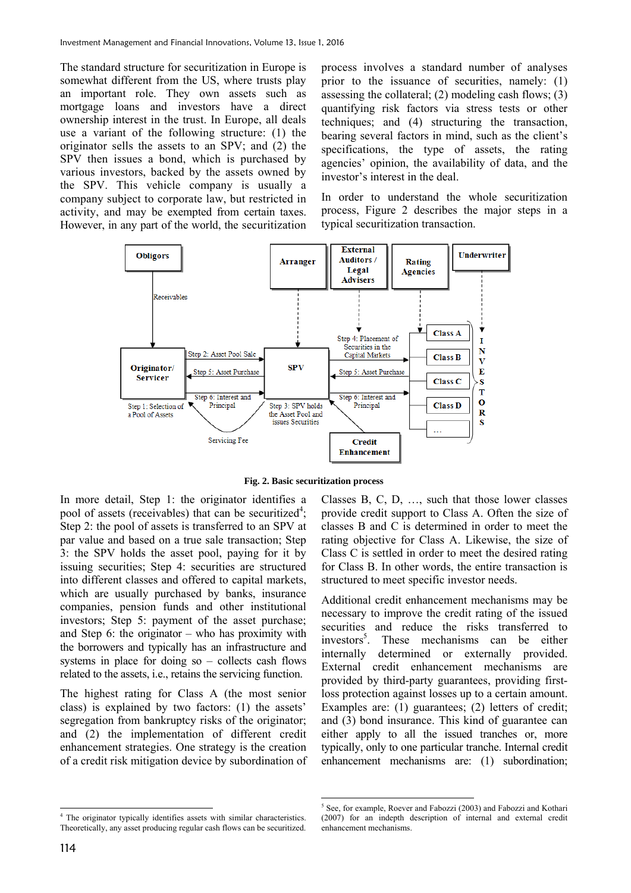The standard structure for securitization in Europe is somewhat different from the US, where trusts play an important role. They own assets such as mortgage loans and investors have a direct ownership interest in the trust. In Europe, all deals use a variant of the following structure: (1) the originator sells the assets to an SPV; and (2) the SPV then issues a bond, which is purchased by various investors, backed by the assets owned by the SPV. This vehicle company is usually a company subject to corporate law, but restricted in activity, and may be exempted from certain taxes. However, in any part of the world, the securitization

process involves a standard number of analyses prior to the issuance of securities, namely: (1) assessing the collateral; (2) modeling cash flows; (3) quantifying risk factors via stress tests or other techniques; and (4) structuring the transaction, bearing several factors in mind, such as the client's specifications, the type of assets, the rating agencies' opinion, the availability of data, and the investor's interest in the deal.

In order to understand the whole securitization process, Figure 2 describes the major steps in a typical securitization transaction.



**Fig. 2. Basic securitization process** 

In more detail, Step 1: the originator identifies a pool of assets (receivables) that can be securitized<sup>4</sup>; Step 2: the pool of assets is transferred to an SPV at par value and based on a true sale transaction; Step 3: the SPV holds the asset pool, paying for it by issuing securities; Step 4: securities are structured into different classes and offered to capital markets, which are usually purchased by banks, insurance companies, pension funds and other institutional investors; Step 5: payment of the asset purchase; and Step 6: the originator – who has proximity with the borrowers and typically has an infrastructure and systems in place for doing so – collects cash flows related to the assets, i.e., retains the servicing function.

The highest rating for Class A (the most senior class) is explained by two factors: (1) the assets' segregation from bankruptcy risks of the originator; and (2) the implementation of different credit enhancement strategies. One strategy is the creation of a credit risk mitigation device by subordination of Additional credit enhancement mechanisms may be necessary to improve the credit rating of the issued securities and reduce the risks transferred to investors<sup>5</sup>. These mechanisms can be either internally determined or externally provided. External credit enhancement mechanisms are provided by third-party guarantees, providing firstloss protection against losses up to a certain amount. Examples are: (1) guarantees; (2) letters of credit; and (3) bond insurance. This kind of guarantee can either apply to all the issued tranches or, more typically, only to one particular tranche. Internal credit enhancement mechanisms are: (1) subordination;

Classes B, C, D, …, such that those lower classes provide credit support to Class A. Often the size of classes B and C is determined in order to meet the rating objective for Class A. Likewise, the size of Class C is settled in order to meet the desired rating for Class B. In other words, the entire transaction is structured to meet specific investor needs.

 4 The originator typically identifies assets with similar characteristics. Theoretically, any asset producing regular cash flows can be securitized.

 5 See, for example, Roever and Fabozzi (2003) and Fabozzi and Kothari (2007) for an indepth description of internal and external credit enhancement mechanisms.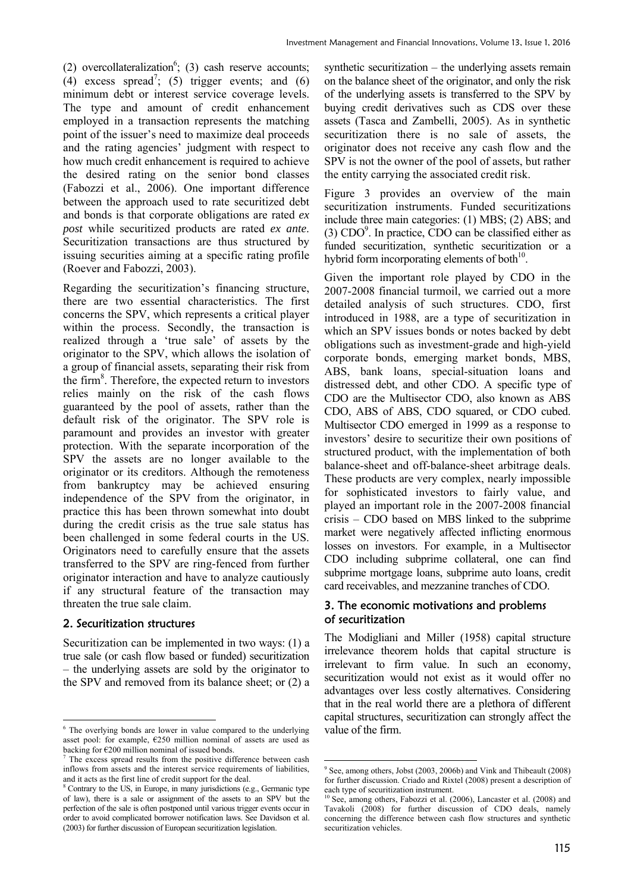(2) overcollateralization<sup>6</sup>; (3) cash reserve accounts; (4) excess spread<sup>7</sup>; (5) trigger events; and (6) minimum debt or interest service coverage levels. The type and amount of credit enhancement employed in a transaction represents the matching point of the issuer's need to maximize deal proceeds and the rating agencies' judgment with respect to how much credit enhancement is required to achieve the desired rating on the senior bond classes (Fabozzi et al., 2006). One important difference between the approach used to rate securitized debt and bonds is that corporate obligations are rated *ex post* while securitized products are rated *ex ante*. Securitization transactions are thus structured by issuing securities aiming at a specific rating profile (Roever and Fabozzi, 2003).

Regarding the securitization's financing structure, there are two essential characteristics. The first concerns the SPV, which represents a critical player within the process. Secondly, the transaction is realized through a 'true sale' of assets by the originator to the SPV, which allows the isolation of a group of financial assets, separating their risk from the firm<sup>8</sup>. Therefore, the expected return to investors relies mainly on the risk of the cash flows guaranteed by the pool of assets, rather than the default risk of the originator. The SPV role is paramount and provides an investor with greater protection. With the separate incorporation of the SPV the assets are no longer available to the originator or its creditors. Although the remoteness from bankruptcy may be achieved ensuring independence of the SPV from the originator, in practice this has been thrown somewhat into doubt during the credit crisis as the true sale status has been challenged in some federal courts in the US. Originators need to carefully ensure that the assets transferred to the SPV are ring-fenced from further originator interaction and have to analyze cautiously if any structural feature of the transaction may threaten the true sale claim.

## 2. Securitization structures

Securitization can be implemented in two ways: (1) a true sale (or cash flow based or funded) securitization – the underlying assets are sold by the originator to the SPV and removed from its balance sheet; or (2) a

synthetic securitization – the underlying assets remain on the balance sheet of the originator, and only the risk of the underlying assets is transferred to the SPV by buying credit derivatives such as CDS over these assets (Tasca and Zambelli, 2005). As in synthetic securitization there is no sale of assets, the originator does not receive any cash flow and the SPV is not the owner of the pool of assets, but rather the entity carrying the associated credit risk.

Figure 3 provides an overview of the main securitization instruments. Funded securitizations include three main categories: (1) MBS; (2) ABS; and  $(3)$  CDO $<sup>9</sup>$ . In practice, CDO can be classified either as</sup> funded securitization, synthetic securitization or a hybrid form incorporating elements of both $10$ .

Given the important role played by CDO in the 2007-2008 financial turmoil, we carried out a more detailed analysis of such structures. CDO, first introduced in 1988, are a type of securitization in which an SPV issues bonds or notes backed by debt obligations such as investment-grade and high-yield corporate bonds, emerging market bonds, MBS, ABS, bank loans, special-situation loans and distressed debt, and other CDO. A specific type of CDO are the Multisector CDO, also known as ABS CDO, ABS of ABS, CDO squared, or CDO cubed. Multisector CDO emerged in 1999 as a response to investors' desire to securitize their own positions of structured product, with the implementation of both balance-sheet and off-balance-sheet arbitrage deals. These products are very complex, nearly impossible for sophisticated investors to fairly value, and played an important role in the 2007-2008 financial crisis – CDO based on MBS linked to the subprime market were negatively affected inflicting enormous losses on investors. For example, in a Multisector CDO including subprime collateral, one can find subprime mortgage loans, subprime auto loans, credit card receivables, and mezzanine tranches of CDO.

### 3. The economic motivations and problems of securitization

The Modigliani and Miller (1958) capital structure irrelevance theorem holds that capital structure is irrelevant to firm value. In such an economy, securitization would not exist as it would offer no advantages over less costly alternatives. Considering that in the real world there are a plethora of different capital structures, securitization can strongly affect the value of the firm.

<sup>&</sup>lt;u>.</u> 6 The overlying bonds are lower in value compared to the underlying asset pool: for example, €250 million nominal of assets are used as backing for  $\epsilon$ 200 million nominal of issued bonds.

<sup>7</sup> The excess spread results from the positive difference between cash inflows from assets and the interest service requirements of liabilities, and it acts as the first line of credit support for the deal.

<sup>8</sup> Contrary to the US, in Europe, in many jurisdictions (e.g., Germanic type of law), there is a sale or assignment of the assets to an SPV but the perfection of the sale is often postponed until various trigger events occur in order to avoid complicated borrower notification laws. See Davidson et al. (2003) for further discussion of European securitization legislation.

<sup>&</sup>lt;u>.</u> 9 See, among others, Jobst (2003, 2006b) and Vink and Thibeault (2008) for further discussion. Criado and Rixtel (2008) present a description of each type of securitization instrument.

<sup>&</sup>lt;sup>1</sup> See, among others, Fabozzi et al. (2006), Lancaster et al. (2008) and Tavakoli (2008) for further discussion of CDO deals, namely concerning the difference between cash flow structures and synthetic securitization vehicles.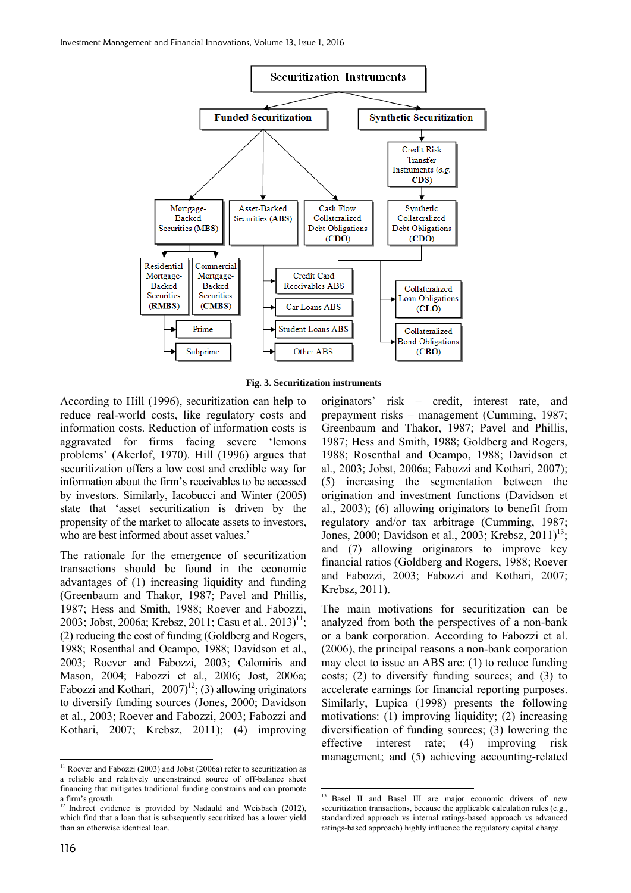

**Fig. 3. Securitization instruments** 

**.** 

According to Hill (1996), securitization can help to reduce real-world costs, like regulatory costs and information costs. Reduction of information costs is aggravated for firms facing severe 'lemons problems' (Akerlof, 1970). Hill (1996) argues that securitization offers a low cost and credible way for information about the firm's receivables to be accessed by investors. Similarly, Iacobucci and Winter (2005) state that 'asset securitization is driven by the propensity of the market to allocate assets to investors, who are best informed about asset values.'

The rationale for the emergence of securitization transactions should be found in the economic advantages of (1) increasing liquidity and funding (Greenbaum and Thakor, 1987; Pavel and Phillis, 1987; Hess and Smith, 1988; Roever and Fabozzi, 2003; Jobst, 2006a; Krebsz, 2011; Casu et al., 2013)<sup>11</sup>; (2) reducing the cost of funding (Goldberg and Rogers, 1988; Rosenthal and Ocampo, 1988; Davidson et al., 2003; Roever and Fabozzi, 2003; Calomiris and Mason, 2004; Fabozzi et al., 2006; Jost, 2006a; Fabozzi and Kothari,  $2007$ <sup>12</sup>; (3) allowing originators to diversify funding sources (Jones, 2000; Davidson et al., 2003; Roever and Fabozzi, 2003; Fabozzi and Kothari, 2007; Krebsz, 2011); (4) improving

originators' risk – credit, interest rate, and prepayment risks – management (Cumming, 1987; Greenbaum and Thakor, 1987; Pavel and Phillis, 1987; Hess and Smith, 1988; Goldberg and Rogers, 1988; Rosenthal and Ocampo, 1988; Davidson et al., 2003; Jobst, 2006a; Fabozzi and Kothari, 2007); (5) increasing the segmentation between the origination and investment functions (Davidson et al., 2003); (6) allowing originators to benefit from regulatory and/or tax arbitrage (Cumming, 1987; Jones, 2000; Davidson et al., 2003; Krebsz, 2011)<sup>13</sup>; and (7) allowing originators to improve key financial ratios (Goldberg and Rogers, 1988; Roever and Fabozzi, 2003; Fabozzi and Kothari, 2007; Krebsz, 2011).

The main motivations for securitization can be analyzed from both the perspectives of a non-bank or a bank corporation. According to Fabozzi et al. (2006), the principal reasons a non-bank corporation may elect to issue an ABS are: (1) to reduce funding costs; (2) to diversify funding sources; and (3) to accelerate earnings for financial reporting purposes. Similarly, Lupica (1998) presents the following motivations: (1) improving liquidity; (2) increasing diversification of funding sources; (3) lowering the effective interest rate; (4) improving risk management; and (5) achieving accounting-related

 $\ddot{\phantom{a}}$  $11$  Roever and Fabozzi (2003) and Jobst (2006a) refer to securitization as a reliable and relatively unconstrained source of off-balance sheet financing that mitigates traditional funding constrains and can promote a firm's growth.

<sup>&</sup>lt;sup>12</sup> Indirect evidence is provided by Nadauld and Weisbach (2012), which find that a loan that is subsequently securitized has a lower yield than an otherwise identical loan.

<sup>&</sup>lt;sup>13</sup> Basel II and Basel III are major economic drivers of new securitization transactions, because the applicable calculation rules (e.g., standardized approach vs internal ratings-based approach vs advanced ratings-based approach) highly influence the regulatory capital charge.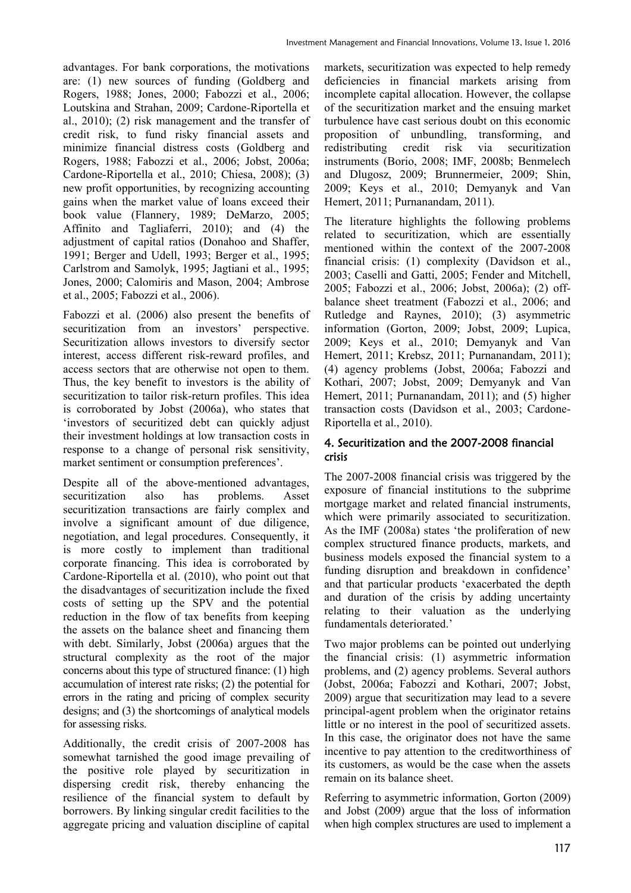advantages. For bank corporations, the motivations are: (1) new sources of funding (Goldberg and Rogers, 1988; Jones, 2000; Fabozzi et al., 2006; Loutskina and Strahan, 2009; Cardone-Riportella et al., 2010); (2) risk management and the transfer of credit risk, to fund risky financial assets and minimize financial distress costs (Goldberg and Rogers, 1988; Fabozzi et al., 2006; Jobst, 2006a; Cardone-Riportella et al., 2010; Chiesa, 2008); (3) new profit opportunities, by recognizing accounting gains when the market value of loans exceed their book value (Flannery, 1989; DeMarzo, 2005; Affinito and Tagliaferri, 2010); and (4) the adjustment of capital ratios (Donahoo and Shaffer, 1991; Berger and Udell, 1993; Berger et al., 1995; Carlstrom and Samolyk, 1995; Jagtiani et al., 1995; Jones, 2000; Calomiris and Mason, 2004; Ambrose et al., 2005; Fabozzi et al., 2006).

Fabozzi et al. (2006) also present the benefits of securitization from an investors' perspective. Securitization allows investors to diversify sector interest, access different risk-reward profiles, and access sectors that are otherwise not open to them. Thus, the key benefit to investors is the ability of securitization to tailor risk-return profiles. This idea is corroborated by Jobst (2006a), who states that 'investors of securitized debt can quickly adjust their investment holdings at low transaction costs in response to a change of personal risk sensitivity, market sentiment or consumption preferences'.

Despite all of the above-mentioned advantages, securitization also has problems. Asset securitization transactions are fairly complex and involve a significant amount of due diligence, negotiation, and legal procedures. Consequently, it is more costly to implement than traditional corporate financing. This idea is corroborated by Cardone-Riportella et al. (2010), who point out that the disadvantages of securitization include the fixed costs of setting up the SPV and the potential reduction in the flow of tax benefits from keeping the assets on the balance sheet and financing them with debt. Similarly, Jobst (2006a) argues that the structural complexity as the root of the major concerns about this type of structured finance: (1) high accumulation of interest rate risks; (2) the potential for errors in the rating and pricing of complex security designs; and (3) the shortcomings of analytical models for assessing risks.

Additionally, the credit crisis of 2007-2008 has somewhat tarnished the good image prevailing of the positive role played by securitization in dispersing credit risk, thereby enhancing the resilience of the financial system to default by borrowers. By linking singular credit facilities to the aggregate pricing and valuation discipline of capital

markets, securitization was expected to help remedy deficiencies in financial markets arising from incomplete capital allocation. However, the collapse of the securitization market and the ensuing market turbulence have cast serious doubt on this economic proposition of unbundling, transforming, and redistributing credit risk via securitization instruments (Borio, 2008; IMF, 2008b; Benmelech and Dlugosz, 2009; Brunnermeier, 2009; Shin, 2009; Keys et al., 2010; Demyanyk and Van Hemert, 2011; Purnanandam, 2011).

The literature highlights the following problems related to securitization, which are essentially mentioned within the context of the 2007-2008 financial crisis: (1) complexity (Davidson et al., 2003; Caselli and Gatti, 2005; Fender and Mitchell, 2005; Fabozzi et al., 2006; Jobst, 2006a); (2) offbalance sheet treatment (Fabozzi et al., 2006; and Rutledge and Raynes, 2010); (3) asymmetric information (Gorton, 2009; Jobst, 2009; Lupica, 2009; Keys et al., 2010; Demyanyk and Van Hemert, 2011; Krebsz, 2011; Purnanandam, 2011); (4) agency problems (Jobst, 2006a; Fabozzi and Kothari, 2007; Jobst, 2009; Demyanyk and Van Hemert, 2011; Purnanandam, 2011); and (5) higher transaction costs (Davidson et al., 2003; Cardone-Riportella et al., 2010).

### 4. Securitization and the 2007-2008 financial crisis

The 2007-2008 financial crisis was triggered by the exposure of financial institutions to the subprime mortgage market and related financial instruments, which were primarily associated to securitization. As the IMF (2008a) states 'the proliferation of new complex structured finance products, markets, and business models exposed the financial system to a funding disruption and breakdown in confidence' and that particular products 'exacerbated the depth and duration of the crisis by adding uncertainty relating to their valuation as the underlying fundamentals deteriorated.'

Two major problems can be pointed out underlying the financial crisis: (1) asymmetric information problems, and (2) agency problems. Several authors (Jobst, 2006a; Fabozzi and Kothari, 2007; Jobst, 2009) argue that securitization may lead to a severe principal-agent problem when the originator retains little or no interest in the pool of securitized assets. In this case, the originator does not have the same incentive to pay attention to the creditworthiness of its customers, as would be the case when the assets remain on its balance sheet.

Referring to asymmetric information, Gorton (2009) and Jobst (2009) argue that the loss of information when high complex structures are used to implement a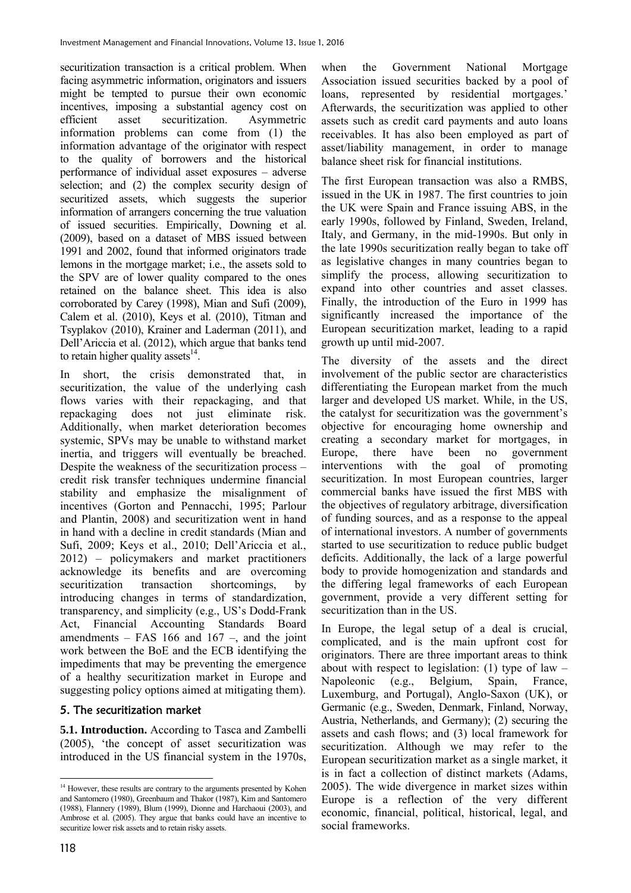securitization transaction is a critical problem. When facing asymmetric information, originators and issuers might be tempted to pursue their own economic incentives, imposing a substantial agency cost on efficient asset securitization. Asymmetric information problems can come from (1) the information advantage of the originator with respect to the quality of borrowers and the historical performance of individual asset exposures – adverse selection; and (2) the complex security design of securitized assets, which suggests the superior information of arrangers concerning the true valuation of issued securities. Empirically, Downing et al. (2009), based on a dataset of MBS issued between 1991 and 2002, found that informed originators trade lemons in the mortgage market; i.e., the assets sold to the SPV are of lower quality compared to the ones retained on the balance sheet. This idea is also corroborated by Carey (1998), Mian and Sufi (2009), Calem et al. (2010), Keys et al. (2010), Titman and Tsyplakov (2010), Krainer and Laderman (2011), and Dell'Ariccia et al. (2012), which argue that banks tend to retain higher quality assets $^{14}$ .

In short, the crisis demonstrated that, in securitization, the value of the underlying cash flows varies with their repackaging, and that repackaging does not just eliminate risk. Additionally, when market deterioration becomes systemic, SPVs may be unable to withstand market inertia, and triggers will eventually be breached. Despite the weakness of the securitization process – credit risk transfer techniques undermine financial stability and emphasize the misalignment of incentives (Gorton and Pennacchi, 1995; Parlour and Plantin, 2008) and securitization went in hand in hand with a decline in credit standards (Mian and Sufi, 2009; Keys et al., 2010; Dell'Ariccia et al*.*, 2012) – policymakers and market practitioners acknowledge its benefits and are overcoming securitization transaction shortcomings, by introducing changes in terms of standardization, transparency, and simplicity (e.g., US's Dodd-Frank Act, Financial Accounting Standards Board amendments – FAS 166 and 167 –, and the joint work between the BoE and the ECB identifying the impediments that may be preventing the emergence of a healthy securitization market in Europe and suggesting policy options aimed at mitigating them).

## 5. The securitization market

**5.1. Introduction.** According to Tasca and Zambelli (2005), 'the concept of asset securitization was introduced in the US financial system in the 1970s,

when the Government National Mortgage Association issued securities backed by a pool of loans, represented by residential mortgages.' Afterwards, the securitization was applied to other assets such as credit card payments and auto loans receivables. It has also been employed as part of asset/liability management, in order to manage balance sheet risk for financial institutions.

The first European transaction was also a RMBS, issued in the UK in 1987. The first countries to join the UK were Spain and France issuing ABS, in the early 1990s, followed by Finland, Sweden, Ireland, Italy, and Germany, in the mid-1990s. But only in the late 1990s securitization really began to take off as legislative changes in many countries began to simplify the process, allowing securitization to expand into other countries and asset classes. Finally, the introduction of the Euro in 1999 has significantly increased the importance of the European securitization market, leading to a rapid growth up until mid-2007.

The diversity of the assets and the direct involvement of the public sector are characteristics differentiating the European market from the much larger and developed US market. While, in the US, the catalyst for securitization was the government's objective for encouraging home ownership and creating a secondary market for mortgages, in Europe, there have been no government<br>interventions with the goal of promoting interventions with the goal of promoting securitization. In most European countries, larger commercial banks have issued the first MBS with the objectives of regulatory arbitrage, diversification of funding sources, and as a response to the appeal of international investors. A number of governments started to use securitization to reduce public budget deficits. Additionally, the lack of a large powerful body to provide homogenization and standards and the differing legal frameworks of each European government, provide a very different setting for securitization than in the US.

In Europe, the legal setup of a deal is crucial, complicated, and is the main upfront cost for originators. There are three important areas to think about with respect to legislation:  $(1)$  type of law – Napoleonic (e.g., Belgium, Spain, France, Luxemburg, and Portugal), Anglo-Saxon (UK), or Germanic (e.g., Sweden, Denmark, Finland, Norway, Austria, Netherlands, and Germany); (2) securing the assets and cash flows; and (3) local framework for securitization. Although we may refer to the European securitization market as a single market, it is in fact a collection of distinct markets (Adams, 2005). The wide divergence in market sizes within Europe is a reflection of the very different economic, financial, political, historical, legal, and social frameworks.

 $\overline{a}$ <sup>14</sup> However, these results are contrary to the arguments presented by Kohen and Santomero (1980), Greenbaum and Thakor (1987), Kim and Santomero (1988), Flannery (1989), Blum (1999), Dionne and Harchaoui (2003), and Ambrose et al. (2005). They argue that banks could have an incentive to securitize lower risk assets and to retain risky assets.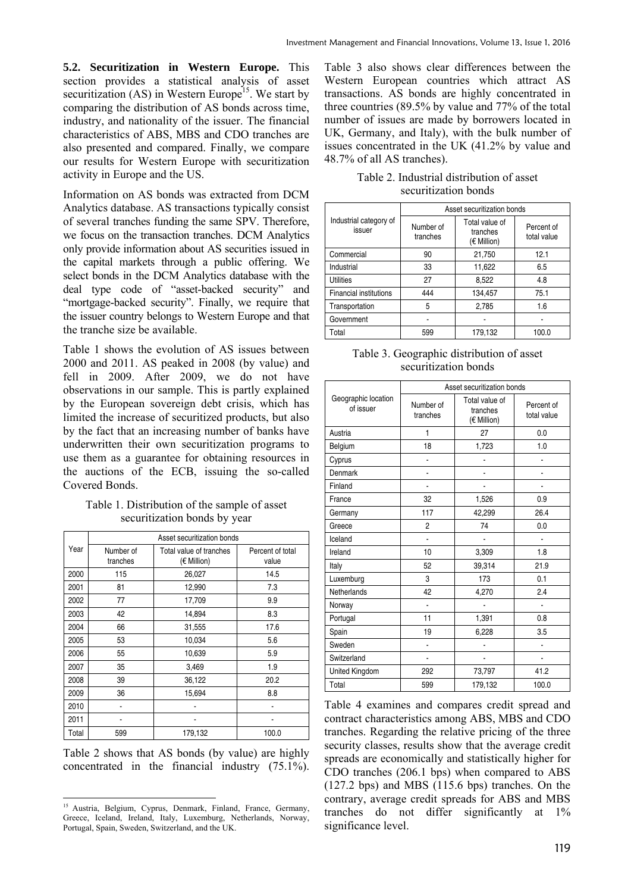**5.2. Securitization in Western Europe.** This section provides a statistical analysis of asset securitization  $(AS)$  in Western Europe<sup>15</sup>. We start by comparing the distribution of AS bonds across time, industry, and nationality of the issuer. The financial characteristics of ABS, MBS and CDO tranches are also presented and compared. Finally, we compare our results for Western Europe with securitization activity in Europe and the US.

Information on AS bonds was extracted from DCM Analytics database. AS transactions typically consist of several tranches funding the same SPV. Therefore, we focus on the transaction tranches. DCM Analytics only provide information about AS securities issued in the capital markets through a public offering. We select bonds in the DCM Analytics database with the deal type code of "asset-backed security" and "mortgage-backed security". Finally, we require that the issuer country belongs to Western Europe and that the tranche size be available.

Table 1 shows the evolution of AS issues between 2000 and 2011. AS peaked in 2008 (by value) and fell in 2009. After 2009, we do not have observations in our sample. This is partly explained by the European sovereign debt crisis, which has limited the increase of securitized products, but also by the fact that an increasing number of banks have underwritten their own securitization programs to use them as a guarantee for obtaining resources in the auctions of the ECB, issuing the so-called Covered Bonds.

Table 1. Distribution of the sample of asset securitization bonds by year

|       |                       | Asset securitization bonds             |                           |
|-------|-----------------------|----------------------------------------|---------------------------|
| Year  | Number of<br>tranches | Total value of tranches<br>(€ Million) | Percent of total<br>value |
| 2000  | 115                   | 26,027                                 | 14.5                      |
| 2001  | 81                    | 12,990                                 | 7.3                       |
| 2002  | 77                    | 17,709                                 | 9.9                       |
| 2003  | 42                    | 14,894                                 | 8.3                       |
| 2004  | 66                    | 31,555                                 | 17.6                      |
| 2005  | 53                    | 10,034                                 | 5.6                       |
| 2006  | 55                    | 10,639                                 | 5.9                       |
| 2007  | 35                    | 3,469                                  | 1.9                       |
| 2008  | 39                    | 36,122                                 | 20.2                      |
| 2009  | 36                    | 15,694                                 | 8.8                       |
| 2010  |                       |                                        |                           |
| 2011  |                       |                                        |                           |
| Total | 599                   | 179,132                                | 100.0                     |

Table 2 shows that AS bonds (by value) are highly concentrated in the financial industry (75.1%).

Table 3 also shows clear differences between the Western European countries which attract AS transactions. AS bonds are highly concentrated in three countries (89.5% by value and 77% of the total number of issues are made by borrowers located in UK, Germany, and Italy), with the bulk number of issues concentrated in the UK (41.2% by value and 48.7% of all AS tranches).

|  | Table 2. Industrial distribution of asset |  |
|--|-------------------------------------------|--|
|  | securitization bonds                      |  |

|                                  | Asset securitization bonds |                                           |                           |  |  |  |  |  |  |
|----------------------------------|----------------------------|-------------------------------------------|---------------------------|--|--|--|--|--|--|
| Industrial category of<br>issuer | Number of<br>tranches      | Total value of<br>tranches<br>(€ Million) | Percent of<br>total value |  |  |  |  |  |  |
| Commercial                       | 90                         | 21,750                                    | 12.1                      |  |  |  |  |  |  |
| Industrial                       | 33                         | 11,622                                    | 6.5                       |  |  |  |  |  |  |
| <b>Utilities</b>                 | 27                         | 8,522                                     | 4.8                       |  |  |  |  |  |  |
| <b>Financial institutions</b>    | 444                        | 134,457                                   | 75.1                      |  |  |  |  |  |  |
| Transportation                   | 5                          | 2,785                                     | 1.6                       |  |  |  |  |  |  |
| Government                       |                            |                                           |                           |  |  |  |  |  |  |
| Total                            | 599                        | 179,132                                   | 100.0                     |  |  |  |  |  |  |

| Table 3. Geographic distribution of asset |
|-------------------------------------------|
| securitization bonds                      |

|                                  |                       | Asset securitization bonds                |                           |  |
|----------------------------------|-----------------------|-------------------------------------------|---------------------------|--|
| Geographic location<br>of issuer | Number of<br>tranches | Total value of<br>tranches<br>(€ Million) | Percent of<br>total value |  |
| Austria                          | 1                     | 27                                        | 0.0                       |  |
| Belgium                          | 18                    | 1,723                                     | 1.0                       |  |
| Cyprus                           | $\overline{a}$        |                                           |                           |  |
| Denmark                          | $\overline{a}$        |                                           |                           |  |
| Finland                          |                       |                                           |                           |  |
| France                           | 32                    | 1,526                                     | 0.9                       |  |
| Germany                          | 117                   | 42,299                                    | 26.4                      |  |
| Greece                           | 2                     | 74                                        | 0.0                       |  |
| Iceland                          | ä,                    |                                           |                           |  |
| Ireland                          | 10                    | 3,309                                     | 1.8                       |  |
| Italy                            | 52                    | 39,314                                    | 21.9                      |  |
| Luxemburg                        | 3                     | 173                                       | 0.1                       |  |
| Netherlands                      | 42                    | 4,270                                     | 2.4                       |  |
| Norway                           | $\overline{a}$        |                                           |                           |  |
| Portugal                         | 11                    | 1,391                                     | 0.8                       |  |
| Spain                            | 19                    | 6,228                                     | 3.5                       |  |
| Sweden                           | ä,                    |                                           |                           |  |
| Switzerland                      | $\overline{a}$        |                                           |                           |  |
| United Kingdom                   | 292                   | 73,797                                    | 41.2                      |  |
| Total                            | 599                   | 179,132                                   | 100.0                     |  |

Table 4 examines and compares credit spread and contract characteristics among ABS, MBS and CDO tranches. Regarding the relative pricing of the three security classes, results show that the average credit spreads are economically and statistically higher for CDO tranches (206.1 bps) when compared to ABS (127.2 bps) and MBS (115.6 bps) tranches. On the contrary, average credit spreads for ABS and MBS tranches do not differ significantly at 1% significance level.

<sup>-</sup><sup>15</sup> Austria, Belgium, Cyprus, Denmark, Finland, France, Germany, Greece, Iceland, Ireland, Italy, Luxemburg, Netherlands, Norway, Portugal, Spain, Sweden, Switzerland, and the UK.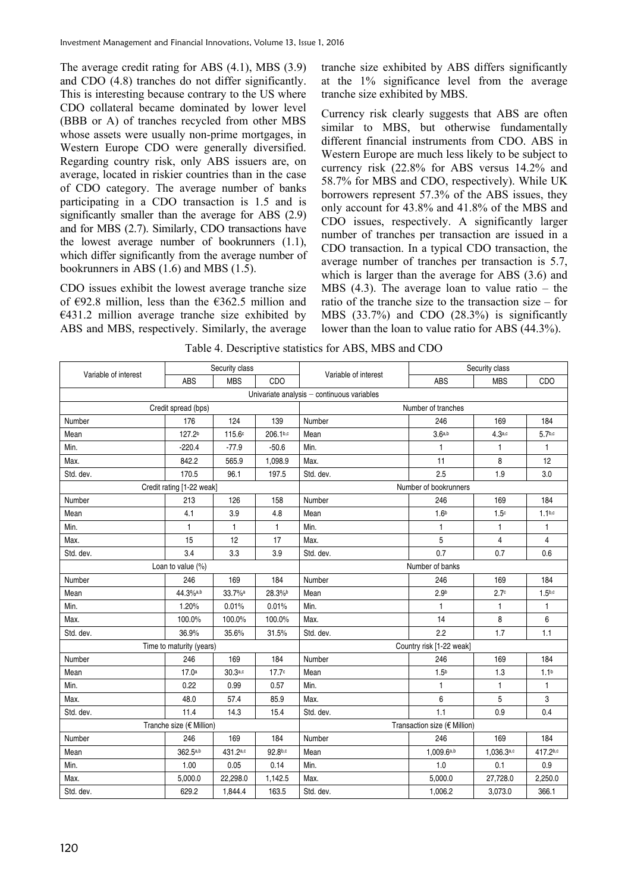The average credit rating for ABS (4.1), MBS (3.9) and CDO (4.8) tranches do not differ significantly. This is interesting because contrary to the US where CDO collateral became dominated by lower level (BBB or A) of tranches recycled from other MBS whose assets were usually non-prime mortgages, in Western Europe CDO were generally diversified. Regarding country risk, only ABS issuers are, on average, located in riskier countries than in the case of CDO category. The average number of banks participating in a CDO transaction is 1.5 and is significantly smaller than the average for ABS (2.9) and for MBS (2.7). Similarly, CDO transactions have the lowest average number of bookrunners (1.1), which differ significantly from the average number of bookrunners in ABS (1.6) and MBS (1.5).

CDO issues exhibit the lowest average tranche size of €92.8 million, less than the €362.5 million and  $€431.2$  million average tranche size exhibited by ABS and MBS, respectively. Similarly, the average

tranche size exhibited by ABS differs significantly at the 1% significance level from the average tranche size exhibited by MBS.

Currency risk clearly suggests that ABS are often similar to MBS, but otherwise fundamentally different financial instruments from CDO. ABS in Western Europe are much less likely to be subject to currency risk (22.8% for ABS versus 14.2% and 58.7% for MBS and CDO, respectively). While UK borrowers represent 57.3% of the ABS issues, they only account for 43.8% and 41.8% of the MBS and CDO issues, respectively. A significantly larger number of tranches per transaction are issued in a CDO transaction. In a typical CDO transaction, the average number of tranches per transaction is 5.7, which is larger than the average for ABS (3.6) and MBS  $(4.3)$ . The average loan to value ratio – the ratio of the tranche size to the transaction size – for MBS (33.7%) and CDO (28.3%) is significantly lower than the loan to value ratio for ABS (44.3%).

|                      |                           | Security class |                   |                                            |                                                                                                                                                                                                                                                                                                                                                                                                                                                                                                                                             |            |                    |  |  |  |
|----------------------|---------------------------|----------------|-------------------|--------------------------------------------|---------------------------------------------------------------------------------------------------------------------------------------------------------------------------------------------------------------------------------------------------------------------------------------------------------------------------------------------------------------------------------------------------------------------------------------------------------------------------------------------------------------------------------------------|------------|--------------------|--|--|--|
| Variable of interest | ABS                       | <b>MBS</b>     | CDO               |                                            | Security class<br>Variable of interest<br>ABS<br><b>MBS</b><br>Number of tranches<br>246<br>169<br>3.6a,b<br>$4.3a$ ,c<br>1<br>1<br>11<br>8<br>2.5<br>1.9<br>Number of bookrunners<br>246<br>169<br>1.6 <sup>b</sup><br>1.5 <sup>c</sup><br>1<br>1<br>5<br>4<br>0.7<br>0.7<br>Number of banks<br>246<br>169<br>2.7 <sup>c</sup><br>2.9 <sub>b</sub><br>1<br>1<br>14<br>8<br>2.2<br>1.7<br>Country risk [1-22 weak]<br>246<br>169<br>1.5 <sup>b</sup><br>1.3<br>1<br>1<br>6<br>5<br>1.1<br>0.9<br>Transaction size (€ Million)<br>246<br>169 | CDO        |                    |  |  |  |
|                      |                           |                |                   | Univariate analysis - continuous variables |                                                                                                                                                                                                                                                                                                                                                                                                                                                                                                                                             |            |                    |  |  |  |
|                      | Credit spread (bps)       |                |                   |                                            |                                                                                                                                                                                                                                                                                                                                                                                                                                                                                                                                             |            |                    |  |  |  |
| Number               | 176                       | 124            | 139               | Number                                     |                                                                                                                                                                                                                                                                                                                                                                                                                                                                                                                                             |            | 184                |  |  |  |
| Mean                 | 127.2 <sup>b</sup>        | 115.6c         | 206.1b,c          | Mean                                       |                                                                                                                                                                                                                                                                                                                                                                                                                                                                                                                                             |            | 5.7 <sub>b,c</sub> |  |  |  |
| Min.                 | $-220.4$                  | $-77.9$        | $-50.6$           | Min.                                       |                                                                                                                                                                                                                                                                                                                                                                                                                                                                                                                                             |            | $\mathbf{1}$       |  |  |  |
| Max.                 | 842.2                     | 565.9          | 1,098.9           | Max.                                       |                                                                                                                                                                                                                                                                                                                                                                                                                                                                                                                                             |            | 12                 |  |  |  |
| Std. dev.            | 170.5                     | 96.1           | 197.5             | Std. dev.                                  |                                                                                                                                                                                                                                                                                                                                                                                                                                                                                                                                             |            | 3.0                |  |  |  |
|                      | Credit rating [1-22 weak] |                |                   |                                            |                                                                                                                                                                                                                                                                                                                                                                                                                                                                                                                                             |            |                    |  |  |  |
| Number               | 213                       | 126            | 158               | Number                                     |                                                                                                                                                                                                                                                                                                                                                                                                                                                                                                                                             |            | 184                |  |  |  |
| Mean                 | 4.1                       | 3.9            | 4.8               | Mean                                       |                                                                                                                                                                                                                                                                                                                                                                                                                                                                                                                                             |            | $1.1^{b,c}$        |  |  |  |
| Min.                 | $\mathbf{1}$              | 1              | 1                 | Min.                                       |                                                                                                                                                                                                                                                                                                                                                                                                                                                                                                                                             |            | $\mathbf{1}$       |  |  |  |
| Max.                 | 15                        | 12             | 17                | Max.                                       |                                                                                                                                                                                                                                                                                                                                                                                                                                                                                                                                             |            | $\overline{4}$     |  |  |  |
| Std. dev.            | 3.4                       | 3.3            | 3.9               | Std. dev.                                  |                                                                                                                                                                                                                                                                                                                                                                                                                                                                                                                                             |            | 0.6                |  |  |  |
|                      | Loan to value (%)         |                |                   |                                            |                                                                                                                                                                                                                                                                                                                                                                                                                                                                                                                                             |            |                    |  |  |  |
| Number               | 246                       | 169            | 184               | Number                                     |                                                                                                                                                                                                                                                                                                                                                                                                                                                                                                                                             |            | 184                |  |  |  |
| Mean                 | 44.3%a,b                  | 33.7%a         | 28.3%b            | Mean                                       |                                                                                                                                                                                                                                                                                                                                                                                                                                                                                                                                             |            | 1.5 <sub>b,c</sub> |  |  |  |
| Min.                 | 1.20%                     | 0.01%          | 0.01%             | Min.                                       |                                                                                                                                                                                                                                                                                                                                                                                                                                                                                                                                             |            | $\mathbf{1}$       |  |  |  |
| Max.                 | 100.0%                    | 100.0%         | 100.0%            | Max.                                       |                                                                                                                                                                                                                                                                                                                                                                                                                                                                                                                                             |            | 6                  |  |  |  |
| Std. dev.            | 36.9%                     | 35.6%          | 31.5%             | Std. dev.                                  |                                                                                                                                                                                                                                                                                                                                                                                                                                                                                                                                             |            | 1.1                |  |  |  |
|                      | Time to maturity (years)  |                |                   |                                            |                                                                                                                                                                                                                                                                                                                                                                                                                                                                                                                                             |            |                    |  |  |  |
| Number               | 246                       | 169            | 184               | Number                                     |                                                                                                                                                                                                                                                                                                                                                                                                                                                                                                                                             |            | 184                |  |  |  |
| Mean                 | 17.0a                     | $30.3a$ ,c     | 17.7 <sup>c</sup> | Mean                                       |                                                                                                                                                                                                                                                                                                                                                                                                                                                                                                                                             |            | 1.1 <sup>b</sup>   |  |  |  |
| Min.                 | 0.22                      | 0.99           | 0.57              | Min.                                       |                                                                                                                                                                                                                                                                                                                                                                                                                                                                                                                                             |            | $\mathbf{1}$       |  |  |  |
| Max.                 | 48.0                      | 57.4           | 85.9              | Max.                                       |                                                                                                                                                                                                                                                                                                                                                                                                                                                                                                                                             |            | 3                  |  |  |  |
| Std. dev.            | 11.4                      | 14.3           | 15.4              | Std. dev.                                  |                                                                                                                                                                                                                                                                                                                                                                                                                                                                                                                                             |            | 0.4                |  |  |  |
|                      | Tranche size (€ Million)  |                |                   |                                            |                                                                                                                                                                                                                                                                                                                                                                                                                                                                                                                                             |            |                    |  |  |  |
| Number               | 246                       | 169            | 184               | Number                                     |                                                                                                                                                                                                                                                                                                                                                                                                                                                                                                                                             |            | 184                |  |  |  |
| Mean                 | 362.5a,b                  | 431.2a,c       | 92.8b,c           | Mean                                       | 1,009.6a,b                                                                                                                                                                                                                                                                                                                                                                                                                                                                                                                                  | 1,036.3a,c | 417.2b,c           |  |  |  |
| Min.                 | 1.00                      | 0.05           | 0.14              | Min.                                       | 1.0                                                                                                                                                                                                                                                                                                                                                                                                                                                                                                                                         | 0.1        | 0.9                |  |  |  |
| Max.                 | 5,000.0                   | 22,298.0       | 1,142.5           | Max.                                       | 5,000.0                                                                                                                                                                                                                                                                                                                                                                                                                                                                                                                                     | 27,728.0   | 2,250.0            |  |  |  |
| Std. dev.            | 629.2                     | 1,844.4        | 163.5             | Std. dev.                                  | 1,006.2                                                                                                                                                                                                                                                                                                                                                                                                                                                                                                                                     | 3,073.0    | 366.1              |  |  |  |

Table 4. Descriptive statistics for ABS, MBS and CDO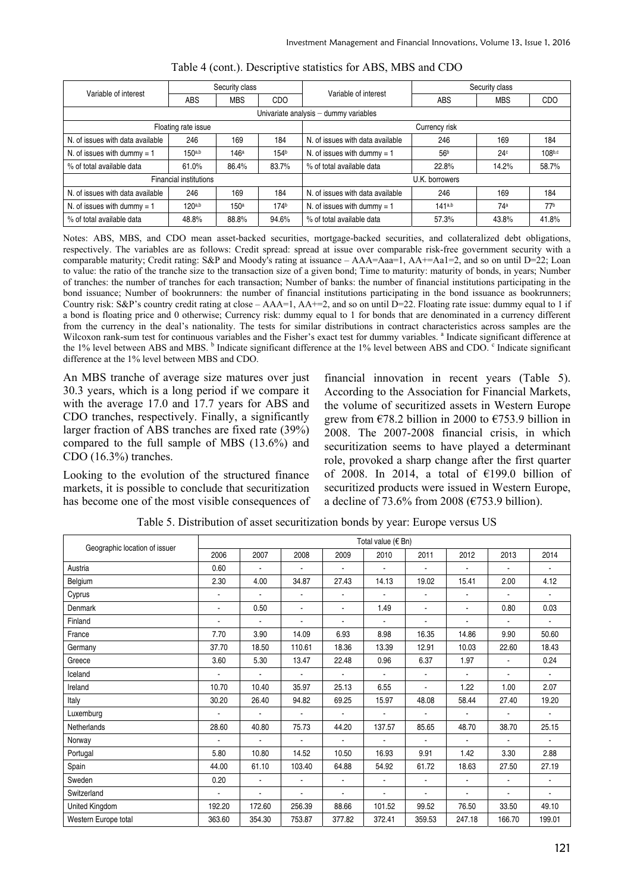| Variable of interest                  | Security class                |            |                  | Variable of interest             | Security class    |       |                 |  |  |  |  |  |
|---------------------------------------|-------------------------------|------------|------------------|----------------------------------|-------------------|-------|-----------------|--|--|--|--|--|
|                                       | <b>ABS</b>                    | <b>MBS</b> | CDO              |                                  | ABS<br><b>MBS</b> |       | CDO             |  |  |  |  |  |
| Univariate analysis - dummy variables |                               |            |                  |                                  |                   |       |                 |  |  |  |  |  |
|                                       | Floating rate issue           |            |                  | Currency risk                    |                   |       |                 |  |  |  |  |  |
| N. of issues with data available      | 246                           | 169        | 184              | N. of issues with data available | 246               | 169   | 184             |  |  |  |  |  |
| N. of issues with dummy = $1$         | 150a,b                        | 146a       | 154 <sup>b</sup> | N. of issues with dummy = $1$    | 56 <sup>b</sup>   | 24c   | 108b,c          |  |  |  |  |  |
| % of total available data             | 61.0%                         | 86.4%      | 83.7%            | % of total available data        | 22.8%             | 14.2% | 58.7%           |  |  |  |  |  |
|                                       | <b>Financial institutions</b> |            |                  | U.K. borrowers                   |                   |       |                 |  |  |  |  |  |
| N. of issues with data available      | 246                           | 169        | 184              | N. of issues with data available | 246               | 169   | 184             |  |  |  |  |  |
| N. of issues with dummy $= 1$         | 120a,b                        | 150a       | 174b             | N. of issues with dummy = $1$    | 141a,b            | 74a   | 77 <sup>b</sup> |  |  |  |  |  |
| % of total available data             | 48.8%                         | 88.8%      | 94.6%            | % of total available data        | 57.3%             | 43.8% | 41.8%           |  |  |  |  |  |

#### Table 4 (cont.). Descriptive statistics for ABS, MBS and CDO

Notes: ABS, MBS, and CDO mean asset-backed securities, mortgage-backed securities, and collateralized debt obligations, respectively. The variables are as follows: Credit spread: spread at issue over comparable risk-free government security with a comparable maturity; Credit rating: S&P and Moody's rating at issuance – AAA=Aaa=1, AA+=Aa1=2, and so on until D=22; Loan to value: the ratio of the tranche size to the transaction size of a given bond; Time to maturity: maturity of bonds, in years; Number of tranches: the number of tranches for each transaction; Number of banks: the number of financial institutions participating in the bond issuance; Number of bookrunners: the number of financial institutions participating in the bond issuance as bookrunners; Country risk: S&P's country credit rating at close –  $AA=1$ ,  $AA+=2$ , and so on until  $D=22$ . Floating rate issue: dummy equal to 1 if a bond is floating price and 0 otherwise; Currency risk: dummy equal to 1 for bonds that are denominated in a currency different from the currency in the deal's nationality. The tests for similar distributions in contract characteristics across samples are the Wilcoxon rank-sum test for continuous variables and the Fisher's exact test for dummy variables. <sup>a</sup> Indicate significant difference at the 1% level between ABS and MBS. <sup>b</sup> Indicate significant difference at the 1% level between ABS and CDO. <sup>c</sup> Indicate significant difference at the 1% level between MBS and CDO.

An MBS tranche of average size matures over just 30.3 years, which is a long period if we compare it with the average 17.0 and 17.7 years for ABS and CDO tranches, respectively. Finally, a significantly larger fraction of ABS tranches are fixed rate (39%) compared to the full sample of MBS (13.6%) and CDO (16.3%) tranches.

Looking to the evolution of the structured finance markets, it is possible to conclude that securitization has become one of the most visible consequences of financial innovation in recent years (Table 5). According to the Association for Financial Markets, the volume of securitized assets in Western Europe grew from  $\epsilon$ 78.2 billion in 2000 to  $\epsilon$ 753.9 billion in 2008. The 2007-2008 financial crisis, in which securitization seems to have played a determinant role, provoked a sharp change after the first quarter of 2008. In 2014, a total of  $£199.0$  billion of securitized products were issued in Western Europe, a decline of 73.6% from 2008 ( $\epsilon$ 753.9 billion).

| Geographic location of issuer |                |                          |                              |                | Total value (€ Bn) |                          |                |        |                |
|-------------------------------|----------------|--------------------------|------------------------------|----------------|--------------------|--------------------------|----------------|--------|----------------|
|                               | 2006           | 2007                     | 2008                         | 2009           | 2010               | 2011                     | 2012           | 2013   | 2014           |
| Austria                       | 0.60           | $\blacksquare$           | $\qquad \qquad \blacksquare$ | $\blacksquare$ |                    |                          |                |        |                |
| Belgium                       | 2.30           | 4.00                     | 34.87                        | 27.43          | 14.13              | 19.02                    | 15.41          | 2.00   | 4.12           |
| Cyprus                        | $\blacksquare$ | $\overline{\phantom{a}}$ | $\blacksquare$               | $\blacksquare$ | $\overline{a}$     | ä,                       | $\blacksquare$ | ä,     |                |
| Denmark                       | $\blacksquare$ | 0.50                     | $\blacksquare$               | $\blacksquare$ | 1.49               | $\blacksquare$           | $\blacksquare$ | 0.80   | 0.03           |
| Finland                       |                | $\blacksquare$           | $\blacksquare$               | $\blacksquare$ | $\overline{a}$     | ä,                       |                | ä,     |                |
| France                        | 7.70           | 3.90                     | 14.09                        | 6.93           | 8.98               | 16.35                    | 14.86          | 9.90   | 50.60          |
| Germany                       | 37.70          | 18.50                    | 110.61                       | 18.36          | 13.39              | 12.91                    | 10.03          | 22.60  | 18.43          |
| Greece                        | 3.60           | 5.30                     | 13.47                        | 22.48          | 0.96               | 6.37                     | 1.97           | L.     | 0.24           |
| Iceland                       |                | ÷.                       | ä,                           |                |                    | $\overline{\phantom{a}}$ | ä.             | ä,     | ä,             |
| Ireland                       | 10.70          | 10.40                    | 35.97                        | 25.13          | 6.55               | $\overline{a}$           | 1.22           | 1.00   | 2.07           |
| Italy                         | 30.20          | 26.40                    | 94.82                        | 69.25          | 15.97              | 48.08                    | 58.44          | 27.40  | 19.20          |
| Luxemburg                     |                | $\blacksquare$           | $\blacksquare$               | $\blacksquare$ | $\overline{a}$     | $\overline{a}$           |                | ä,     | $\blacksquare$ |
| Netherlands                   | 28.60          | 40.80                    | 75.73                        | 44.20          | 137.57             | 85.65                    | 48.70          | 38.70  | 25.15          |
| Norway                        |                | $\blacksquare$           | $\blacksquare$               | $\blacksquare$ | $\overline{a}$     | ä,                       | $\blacksquare$ | ä,     |                |
| Portugal                      | 5.80           | 10.80                    | 14.52                        | 10.50          | 16.93              | 9.91                     | 1.42           | 3.30   | 2.88           |
| Spain                         | 44.00          | 61.10                    | 103.40                       | 64.88          | 54.92              | 61.72                    | 18.63          | 27.50  | 27.19          |
| Sweden                        | 0.20           | $\blacksquare$           | ٠                            | $\blacksquare$ | $\overline{a}$     | ä,                       |                | ä,     | ٠              |
| Switzerland                   | $\blacksquare$ | $\blacksquare$           | ٠                            | $\blacksquare$ | $\overline{a}$     | $\blacksquare$           | $\blacksquare$ | ä,     | ٠              |
| United Kingdom                | 192.20         | 172.60                   | 256.39                       | 88.66          | 101.52             | 99.52                    | 76.50          | 33.50  | 49.10          |
| Western Europe total          | 363.60         | 354.30                   | 753.87                       | 377.82         | 372.41             | 359.53                   | 247.18         | 166.70 | 199.01         |

Table 5. Distribution of asset securitization bonds by year: Europe versus US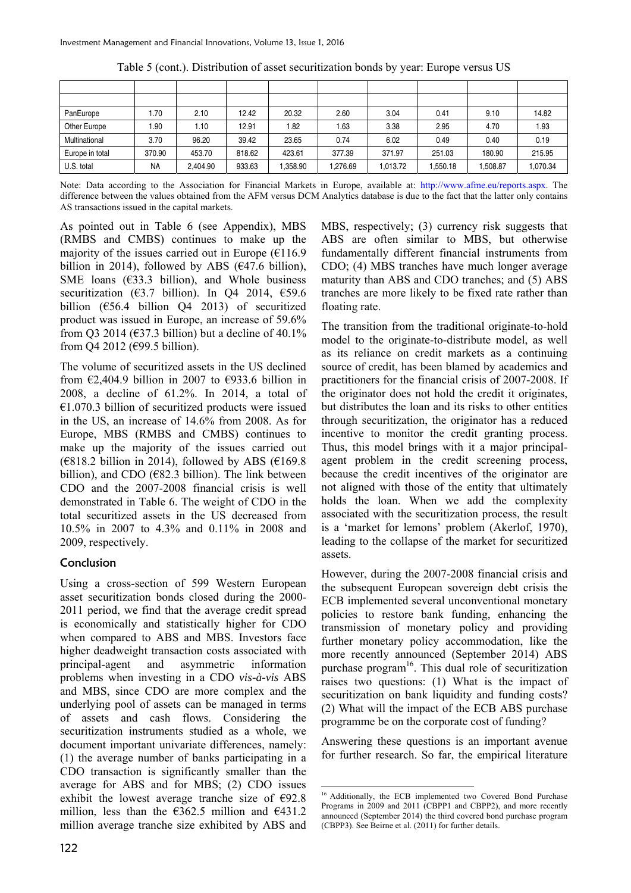| PanEurope       | .70       | 2.10     | 12.42  | 20.32   | 2.60    | 3.04     | 0.41    | 9.10    | 14.82    |
|-----------------|-----------|----------|--------|---------|---------|----------|---------|---------|----------|
| Other Europe    | .90       | 1.10     | 12.91  | 1.82    | 1.63    | 3.38     | 2.95    | 4.70    | 1.93     |
| Multinational   | 3.70      | 96.20    | 39.42  | 23.65   | 0.74    | 6.02     | 0.49    | 0.40    | 0.19     |
| Europe in total | 370.90    | 453.70   | 818.62 | 423.61  | 377.39  | 371.97   | 251.03  | 180.90  | 215.95   |
| U.S. total      | <b>NA</b> | 2.404.90 | 933.63 | .358.90 | ,276.69 | 1.013.72 | .550.18 | .508.87 | 1,070.34 |

Table 5 (cont.). Distribution of asset securitization bonds by year: Europe versus US

Note: Data according to the Association for Financial Markets in Europe, available at: http://www.afme.eu/reports.aspx. The difference between the values obtained from the AFM versus DCM Analytics database is due to the fact that the latter only contains AS transactions issued in the capital markets.

1

As pointed out in Table 6 (see Appendix), MBS (RMBS and CMBS) continues to make up the majority of the issues carried out in Europe  $(E116.9)$ billion in 2014), followed by ABS ( $\epsilon$ 47.6 billion), SME loans ( $633.3$  billion), and Whole business securitization ( $63.7$  billion). In Q4 2014,  $659.6$ billion (€56.4 billion Q4 2013) of securitized product was issued in Europe, an increase of 59.6% from O3 2014 ( $\epsilon$ 37.3 billion) but a decline of 40.1% from Q4 2012 (€99.5 billion).

The volume of securitized assets in the US declined from  $\epsilon$ 2,404.9 billion in 2007 to  $\epsilon$ 933.6 billion in 2008, a decline of 61.2%. In 2014, a total of  $€1.070.3$  billion of securitized products were issued in the US, an increase of 14.6% from 2008. As for Europe, MBS (RMBS and CMBS) continues to make up the majority of the issues carried out  $(6818.2)$  billion in 2014), followed by ABS  $(6169.8)$ billion), and CDO ( $E$ 82.3 billion). The link between CDO and the 2007-2008 financial crisis is well demonstrated in Table 6. The weight of CDO in the total securitized assets in the US decreased from 10.5% in 2007 to 4.3% and 0.11% in 2008 and 2009, respectively.

#### Conclusion

Using a cross-section of 599 Western European asset securitization bonds closed during the 2000- 2011 period, we find that the average credit spread is economically and statistically higher for CDO when compared to ABS and MBS. Investors face higher deadweight transaction costs associated with principal-agent and asymmetric information problems when investing in a CDO *vis-à-vis* ABS and MBS, since CDO are more complex and the underlying pool of assets can be managed in terms of assets and cash flows. Considering the securitization instruments studied as a whole, we document important univariate differences, namely: (1) the average number of banks participating in a CDO transaction is significantly smaller than the average for ABS and for MBS; (2) CDO issues exhibit the lowest average tranche size of  $\epsilon$ 92.8 million, less than the  $\epsilon$ 362.5 million and  $\epsilon$ 431.2 million average tranche size exhibited by ABS and MBS, respectively; (3) currency risk suggests that ABS are often similar to MBS, but otherwise fundamentally different financial instruments from CDO; (4) MBS tranches have much longer average maturity than ABS and CDO tranches; and (5) ABS tranches are more likely to be fixed rate rather than floating rate.

The transition from the traditional originate-to-hold model to the originate-to-distribute model, as well as its reliance on credit markets as a continuing source of credit, has been blamed by academics and practitioners for the financial crisis of 2007-2008. If the originator does not hold the credit it originates, but distributes the loan and its risks to other entities through securitization, the originator has a reduced incentive to monitor the credit granting process. Thus, this model brings with it a major principalagent problem in the credit screening process, because the credit incentives of the originator are not aligned with those of the entity that ultimately holds the loan. When we add the complexity associated with the securitization process, the result is a 'market for lemons' problem (Akerlof, 1970), leading to the collapse of the market for securitized assets.

However, during the 2007-2008 financial crisis and the subsequent European sovereign debt crisis the ECB implemented several unconventional monetary policies to restore bank funding, enhancing the transmission of monetary policy and providing further monetary policy accommodation, like the more recently announced (September 2014) ABS purchase program<sup>16</sup>. This dual role of securitization raises two questions: (1) What is the impact of securitization on bank liquidity and funding costs? (2) What will the impact of the ECB ABS purchase programme be on the corporate cost of funding?

Answering these questions is an important avenue for further research. So far, the empirical literature

<sup>&</sup>lt;sup>16</sup> Additionally, the ECB implemented two Covered Bond Purchase Programs in 2009 and 2011 (CBPP1 and CBPP2), and more recently announced (September 2014) the third covered bond purchase program (CBPP3). See Beirne et al. (2011) for further details.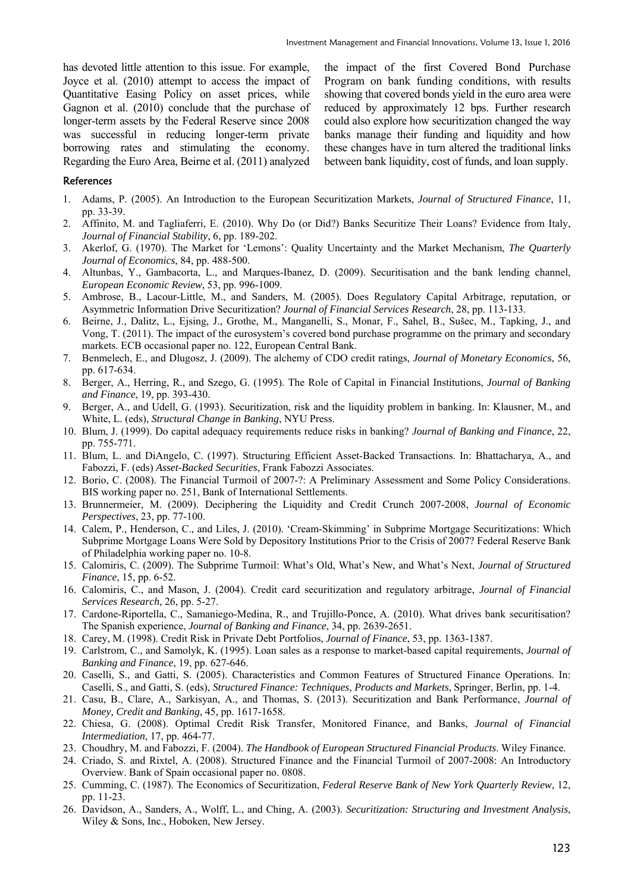has devoted little attention to this issue. For example, Joyce et al. (2010) attempt to access the impact of Quantitative Easing Policy on asset prices, while Gagnon et al. (2010) conclude that the purchase of longer-term assets by the Federal Reserve since 2008 was successful in reducing longer-term private borrowing rates and stimulating the economy. Regarding the Euro Area, Beirne et al. (2011) analyzed

the impact of the first Covered Bond Purchase Program on bank funding conditions, with results showing that covered bonds yield in the euro area were reduced by approximately 12 bps. Further research could also explore how securitization changed the way banks manage their funding and liquidity and how these changes have in turn altered the traditional links between bank liquidity, cost of funds, and loan supply.

#### **References**

- 1. Adams, P. (2005). An Introduction to the European Securitization Markets, *Journal of Structured Finance*, 11, pp. 33-39.
- 2. Affinito, M. and Tagliaferri, E. (2010). Why Do (or Did?) Banks Securitize Their Loans? Evidence from Italy, *Journal of Financial Stability*, 6, pp. 189-202.
- 3. Akerlof, G. (1970). The Market for 'Lemons': Quality Uncertainty and the Market Mechanism, *The Quarterly Journal of Economics*, 84, pp. 488-500.
- 4. Altunbas, Y., Gambacorta, L., and Marques-Ibanez, D. (2009). Securitisation and the bank lending channel, *European Economic Review*, 53, pp. 996-1009.
- 5. Ambrose, B., Lacour-Little, M., and Sanders, M. (2005). Does Regulatory Capital Arbitrage, reputation, or Asymmetric Information Drive Securitization? *Journal of Financial Services Research*, 28, pp. 113-133.
- 6. Beirne, J., Dalitz, L., Ejsing, J., Grothe, M., Manganelli, S., Monar, F., Sahel, B., Sušec, M., Tapking, J., and Vong, T. (2011). The impact of the eurosystem's covered bond purchase programme on the primary and secondary markets. ECB occasional paper no. 122, European Central Bank.
- 7. Benmelech, E., and Dlugosz, J. (2009). The alchemy of CDO credit ratings, *Journal of Monetary Economics*, 56, pp. 617-634.
- 8. Berger, A., Herring, R., and Szego, G. (1995). The Role of Capital in Financial Institutions, *Journal of Banking and Finance*, 19, pp. 393-430.
- 9. Berger, A., and Udell, G. (1993). Securitization, risk and the liquidity problem in banking. In: Klausner, M., and White, L. (eds), *Structural Change in Banking*, NYU Press.
- 10. Blum, J. (1999). Do capital adequacy requirements reduce risks in banking? *Journal of Banking and Finance*, 22, pp. 755-771.
- 11. Blum, L. and DiAngelo, C. (1997). Structuring Efficient Asset-Backed Transactions. In: Bhattacharya, A., and Fabozzi, F. (eds) *Asset-Backed Securities*, Frank Fabozzi Associates.
- 12. Borio, C. (2008). The Financial Turmoil of 2007-?: A Preliminary Assessment and Some Policy Considerations. BIS working paper no. 251, Bank of International Settlements.
- 13. Brunnermeier, M. (2009). Deciphering the Liquidity and Credit Crunch 2007-2008, *Journal of Economic Perspectives*, 23, pp. 77-100.
- 14. Calem, P., Henderson, C., and Liles, J. (2010). 'Cream-Skimming' in Subprime Mortgage Securitizations: Which Subprime Mortgage Loans Were Sold by Depository Institutions Prior to the Crisis of 2007? Federal Reserve Bank of Philadelphia working paper no. 10-8.
- 15. Calomiris, C. (2009). The Subprime Turmoil: What's Old, What's New, and What's Next, *Journal of Structured Finance*, 15, pp. 6-52.
- 16. Calomiris, C., and Mason, J. (2004). Credit card securitization and regulatory arbitrage, *Journal of Financial Services Research*, 26, pp. 5-27.
- 17. Cardone-Riportella, C., Samaniego-Medina, R., and Trujillo-Ponce, A. (2010). What drives bank securitisation? The Spanish experience, *Journal of Banking and Finance*, 34, pp. 2639-2651.
- 18. Carey, M. (1998). Credit Risk in Private Debt Portfolios, *Journal of Finance*, 53, pp. 1363-1387.
- 19. Carlstrom, C., and Samolyk, K. (1995). Loan sales as a response to market-based capital requirements, *Journal of Banking and Finance*, 19, pp. 627-646.
- 20. Caselli, S., and Gatti, S. (2005). Characteristics and Common Features of Structured Finance Operations. In: Caselli, S., and Gatti, S. (eds), *Structured Finance: Techniques, Products and Markets*, Springer, Berlin, pp. 1-4.
- 21. Casu, B., Clare, A., Sarkisyan, A., and Thomas, S. (2013). Securitization and Bank Performance, *Journal of Money, Credit and Banking*, 45, pp. 1617-1658.
- 22. Chiesa, G. (2008). Optimal Credit Risk Transfer, Monitored Finance, and Banks, *Journal of Financial Intermediation*, 17, pp. 464-77.
- 23. Choudhry, M. and Fabozzi, F. (2004). *The Handbook of European Structured Financial Products*. Wiley Finance.
- 24. Criado, S. and Rixtel, A. (2008). Structured Finance and the Financial Turmoil of 2007-2008: An Introductory Overview. Bank of Spain occasional paper no. 0808.
- 25. Cumming, C. (1987). The Economics of Securitization, *Federal Reserve Bank of New York Quarterly Review*, 12, pp. 11-23.
- 26. Davidson, A., Sanders, A., Wolff, L., and Ching, A. (2003). *Securitization: Structuring and Investment Analysis*, Wiley & Sons, Inc., Hoboken, New Jersey.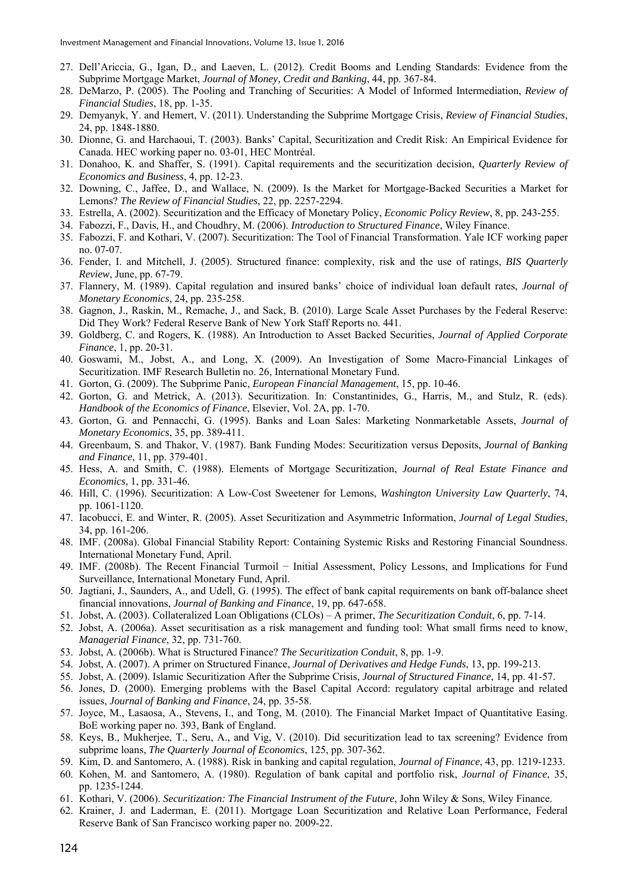- 27. Dell'Ariccia, G., Igan, D., and Laeven, L. (2012). Credit Booms and Lending Standards: Evidence from the Subprime Mortgage Market, *Journal of Money, Credit and Banking*, 44, pp. 367-84.
- 28. DeMarzo, P. (2005). The Pooling and Tranching of Securities: A Model of Informed Intermediation, *Review of Financial Studies*, 18, pp. 1-35.
- 29. Demyanyk, Y. and Hemert, V. (2011). Understanding the Subprime Mortgage Crisis, *Review of Financial Studies*, 24, pp. 1848-1880.
- 30. Dionne, G. and Harchaoui, T. (2003). Banks' Capital, Securitization and Credit Risk: An Empirical Evidence for Canada. HEC working paper no. 03-01, HEC Montréal.
- 31. Donahoo, K. and Shaffer, S. (1991). Capital requirements and the securitization decision, *Quarterly Review of Economics and Business*, 4, pp. 12-23.
- 32. Downing, C., Jaffee, D., and Wallace, N. (2009). Is the Market for Mortgage-Backed Securities a Market for Lemons? *The Review of Financial Studies*, 22, pp. 2257-2294.
- 33. Estrella, A. (2002). Securitization and the Efficacy of Monetary Policy, *Economic Policy Review*, 8, pp. 243-255.
- 34. Fabozzi, F., Davis, H., and Choudhry, M. (2006). *Introduction to Structured Finance*, Wiley Finance.
- 35. Fabozzi, F. and Kothari, V. (2007). Securitization: The Tool of Financial Transformation. Yale ICF working paper no. 07-07.
- 36. Fender, I. and Mitchell, J. (2005). Structured finance: complexity, risk and the use of ratings, *BIS Quarterly Review*, June, pp. 67-79.
- 37. Flannery, M. (1989). Capital regulation and insured banks' choice of individual loan default rates, *Journal of Monetary Economics*, 24, pp. 235-258.
- 38. Gagnon, J., Raskin, M., Remache, J., and Sack, B. (2010). Large Scale Asset Purchases by the Federal Reserve: Did They Work? Federal Reserve Bank of New York Staff Reports no. 441.
- 39. Goldberg, C. and Rogers, K. (1988). An Introduction to Asset Backed Securities, *Journal of Applied Corporate Finance*, 1, pp. 20-31.
- 40. Goswami, M., Jobst, A., and Long, X. (2009). An Investigation of Some Macro-Financial Linkages of Securitization. IMF Research Bulletin no. 26, International Monetary Fund.
- 41. Gorton, G. (2009). The Subprime Panic, *European Financial Management*, 15, pp. 10-46.
- 42. Gorton, G. and Metrick, A. (2013). Securitization. In: Constantinides, G., Harris, M., and Stulz, R. (eds). *Handbook of the Economics of Finance*, Elsevier, Vol. 2A, pp. 1-70.
- 43. Gorton, G. and Pennacchi, G. (1995). Banks and Loan Sales: Marketing Nonmarketable Assets, *Journal of Monetary Economics*, 35, pp. 389-411.
- 44. Greenbaum, S. and Thakor, V. (1987). Bank Funding Modes: Securitization versus Deposits, *Journal of Banking and Finance*, 11, pp. 379-401.
- 45. Hess, A. and Smith, C. (1988). Elements of Mortgage Securitization, *Journal of Real Estate Finance and Economics*, 1, pp. 331-46.
- 46. Hill, C. (1996). Securitization: A Low-Cost Sweetener for Lemons, *Washington University Law Quarterly*, 74, pp. 1061-1120.
- 47. Iacobucci, E. and Winter, R. (2005). Asset Securitization and Asymmetric Information, *Journal of Legal Studies*, 34, pp. 161-206.
- 48. IMF. (2008a). Global Financial Stability Report: Containing Systemic Risks and Restoring Financial Soundness. International Monetary Fund, April.
- 49. IMF. (2008b). The Recent Financial Turmoil − Initial Assessment, Policy Lessons, and Implications for Fund Surveillance, International Monetary Fund, April.
- 50. Jagtiani, J., Saunders, A., and Udell, G. (1995). The effect of bank capital requirements on bank off-balance sheet financial innovations, *Journal of Banking and Finance*, 19, pp. 647-658.
- 51. Jobst, A. (2003). Collateralized Loan Obligations (CLOs) A primer, *The Securitization Conduit*, 6, pp. 7-14.
- 52. Jobst, A. (2006a). Asset securitisation as a risk management and funding tool: What small firms need to know, *Managerial Finance*, 32, pp. 731-760.
- 53. Jobst, A. (2006b). What is Structured Finance? *The Securitization Conduit*, 8, pp. 1-9.
- 54. Jobst, A. (2007). A primer on Structured Finance, *Journal of Derivatives and Hedge Funds*, 13, pp. 199-213.
- 55. Jobst, A. (2009). Islamic Securitization After the Subprime Crisis, *Journal of Structured Finance*, 14, pp. 41-57.
- 56. Jones, D. (2000). Emerging problems with the Basel Capital Accord: regulatory capital arbitrage and related issues, *Journal of Banking and Finance*, 24, pp. 35-58.
- 57. Joyce, M., Lasaosa, A., Stevens, I., and Tong, M. (2010). The Financial Market Impact of Quantitative Easing. BoE working paper no. 393, Bank of England.
- 58. Keys, B., Mukherjee, T., Seru, A., and Vig, V. (2010). Did securitization lead to tax screening? Evidence from subprime loans, *The Quarterly Journal of Economics*, 125, pp. 307-362.
- 59. Kim, D. and Santomero, A. (1988). Risk in banking and capital regulation, *Journal of Finance*, 43, pp. 1219-1233.
- 60. Kohen, M. and Santomero, A. (1980). Regulation of bank capital and portfolio risk, *Journal of Finance*, 35, pp. 1235-1244.
- 61. Kothari, V. (2006). *Securitization: The Financial Instrument of the Future*, John Wiley & Sons, Wiley Finance.
- 62. Krainer, J. and Laderman, E. (2011). Mortgage Loan Securitization and Relative Loan Performance, Federal Reserve Bank of San Francisco working paper no. 2009-22.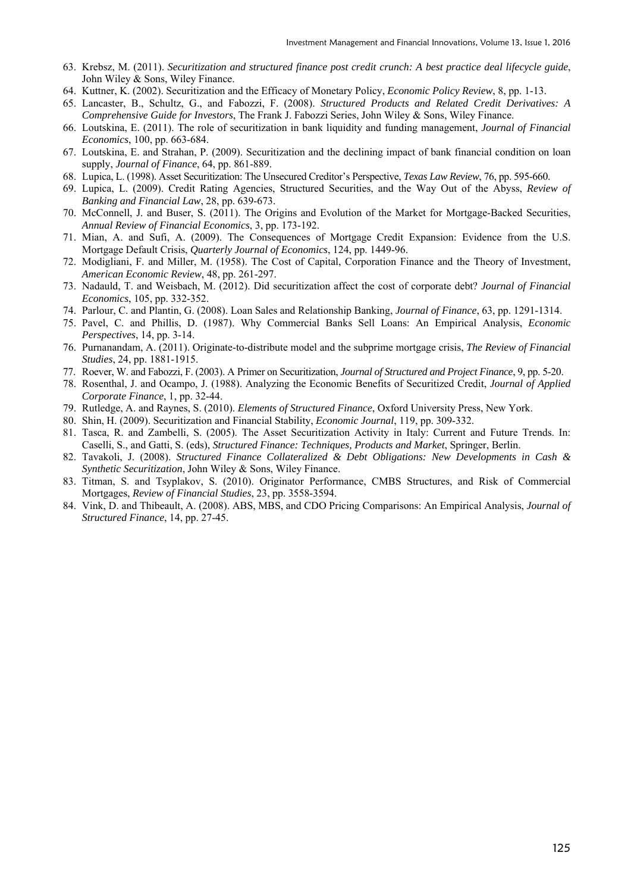- 63. Krebsz, M. (2011). *Securitization and structured finance post credit crunch: A best practice deal lifecycle guide*, John Wiley & Sons, Wiley Finance.
- 64. Kuttner, K. (2002). Securitization and the Efficacy of Monetary Policy, *Economic Policy Review*, 8, pp. 1-13.
- 65. Lancaster, B., Schultz, G., and Fabozzi, F. (2008). *Structured Products and Related Credit Derivatives: A Comprehensive Guide for Investors*, The Frank J. Fabozzi Series, John Wiley & Sons, Wiley Finance.
- 66. Loutskina, E. (2011). The role of securitization in bank liquidity and funding management, *Journal of Financial Economics*, 100, pp. 663-684.
- 67. Loutskina, E. and Strahan, P. (2009). Securitization and the declining impact of bank financial condition on loan supply, *Journal of Finance*, 64, pp. 861-889.
- 68. Lupica, L. (1998). Asset Securitization: The Unsecured Creditor's Perspective, *Texas Law Review*, 76, pp. 595-660.
- 69. Lupica, L. (2009). Credit Rating Agencies, Structured Securities, and the Way Out of the Abyss, *Review of Banking and Financial Law*, 28, pp. 639-673.
- 70. McConnell, J. and Buser, S. (2011). The Origins and Evolution of the Market for Mortgage-Backed Securities, *Annual Review of Financial Economics*, 3, pp. 173-192.
- 71. Mian, A. and Sufi, A. (2009). The Consequences of Mortgage Credit Expansion: Evidence from the U.S. Mortgage Default Crisis, *Quarterly Journal of Economics*, 124, pp. 1449-96.
- 72. Modigliani, F. and Miller, M. (1958). The Cost of Capital, Corporation Finance and the Theory of Investment, *American Economic Review*, 48, pp. 261-297.
- 73. Nadauld, T. and Weisbach, M. (2012). Did securitization affect the cost of corporate debt? *Journal of Financial Economics*, 105, pp. 332-352.
- 74. Parlour, C. and Plantin, G. (2008). Loan Sales and Relationship Banking, *Journal of Finance*, 63, pp. 1291-1314.
- 75. Pavel, C. and Phillis, D. (1987). Why Commercial Banks Sell Loans: An Empirical Analysis, *Economic Perspectives*, 14, pp. 3-14.
- 76. Purnanandam, A. (2011). Originate-to-distribute model and the subprime mortgage crisis, *The Review of Financial Studies*, 24, pp. 1881-1915.
- 77. Roever, W. and Fabozzi, F. (2003). A Primer on Securitization, *Journal of Structured and Project Finance*, 9, pp. 5-20.
- 78. Rosenthal, J. and Ocampo, J. (1988). Analyzing the Economic Benefits of Securitized Credit, *Journal of Applied Corporate Finance*, 1, pp. 32-44.
- 79. Rutledge, A. and Raynes, S. (2010). *Elements of Structured Finance*, Oxford University Press, New York.
- 80. Shin, H. (2009). Securitization and Financial Stability, *Economic Journal*, 119, pp. 309-332.
- 81. Tasca, R. and Zambelli, S. (2005). The Asset Securitization Activity in Italy: Current and Future Trends. In: Caselli, S., and Gatti, S. (eds), *Structured Finance: Techniques, Products and Market*, Springer, Berlin.
- 82. Tavakoli, J. (2008). *Structured Finance Collateralized & Debt Obligations: New Developments in Cash & Synthetic Securitization*, John Wiley & Sons, Wiley Finance.
- 83. Titman, S. and Tsyplakov, S. (2010). Originator Performance, CMBS Structures, and Risk of Commercial Mortgages, *Review of Financial Studies*, 23, pp. 3558-3594.
- 84. Vink, D. and Thibeault, A. (2008). ABS, MBS, and CDO Pricing Comparisons: An Empirical Analysis, *Journal of Structured Finance*, 14, pp. 27-45.